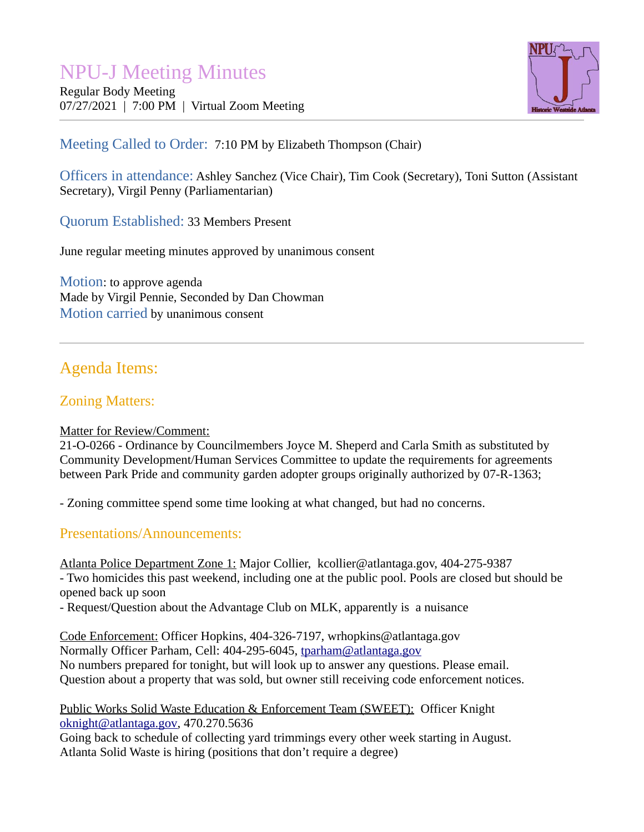# NPU-J Meeting Minutes

Regular Body Meeting 07/27/2021 | 7:00 PM | Virtual Zoom Meeting



# Meeting Called to Order: 7:10 PM by Elizabeth Thompson (Chair)

Officers in attendance: Ashley Sanchez (Vice Chair), Tim Cook (Secretary), Toni Sutton (Assistant Secretary), Virgil Penny (Parliamentarian)

Quorum Established: 33 Members Present

June regular meeting minutes approved by unanimous consent

Motion: to approve agenda Made by Virgil Pennie, Seconded by Dan Chowman Motion carried by unanimous consent

# Agenda Items:

# Zoning Matters:

## Matter for Review/Comment:

21-O-0266 - Ordinance by Councilmembers Joyce M. Sheperd and Carla Smith as substituted by Community Development/Human Services Committee to update the requirements for agreements between Park Pride and community garden adopter groups originally authorized by 07-R-1363;

- Zoning committee spend some time looking at what changed, but had no concerns.

## Presentations/Announcements:

Atlanta Police Department Zone 1: Major Collier, kcollier@atlantaga.gov, 404-275-9387

- Two homicides this past weekend, including one at the public pool. Pools are closed but should be opened back up soon

- Request/Question about the Advantage Club on MLK, apparently is a nuisance

Code Enforcement: Officer Hopkins, 404-326-7197, wrhopkins@atlantaga.gov Normally Officer Parham, Cell: 404-295-6045, [tparham@atlantaga.gov](mailto:tparham@atlantaga.gov) No numbers prepared for tonight, but will look up to answer any questions. Please email. Question about a property that was sold, but owner still receiving code enforcement notices.

## Public Works Solid Waste Education & Enforcement Team (SWEET): Officer Knight [oknight@atlantaga.gov,](mailto:oknight@atlantaga.gov) 470.270.5636

Going back to schedule of collecting yard trimmings every other week starting in August. Atlanta Solid Waste is hiring (positions that don't require a degree)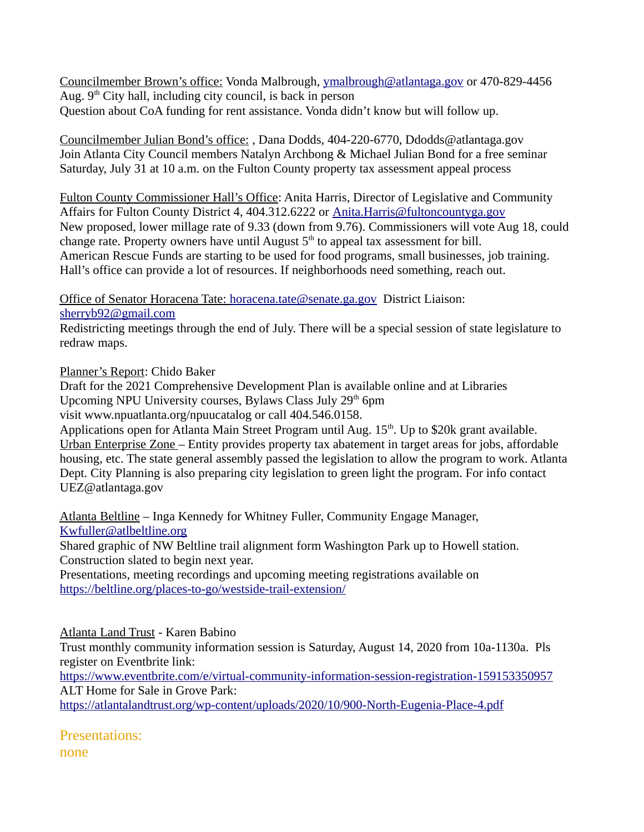Councilmember Brown's office: Vonda Malbrough, [ymalbrough@atlantaga.gov](mailto:ymalbrough@atlantaga.gov) or 470-829-4456 Aug.  $9<sup>th</sup>$  City hall, including city council, is back in person Question about CoA funding for rent assistance. Vonda didn't know but will follow up.

Councilmember Julian Bond's office: , Dana Dodds, 404-220-6770, Ddodds@atlantaga.gov Join Atlanta City Council members Natalyn Archbong & Michael Julian Bond for a free seminar Saturday, July 31 at 10 a.m. on the Fulton County property tax assessment appeal process

Fulton County Commissioner Hall's Office: Anita Harris, Director of Legislative and Community Affairs for Fulton County District 4, 404.312.6222 or [Anita.Harris@fultoncountyga.gov](mailto:Anita.Harris@fultoncountyga.gov) New proposed, lower millage rate of 9.33 (down from 9.76). Commissioners will vote Aug 18, could change rate. Property owners have until August  $5<sup>th</sup>$  to appeal tax assessment for bill. American Rescue Funds are starting to be used for food programs, small businesses, job training. Hall's office can provide a lot of resources. If neighborhoods need something, reach out.

Office of Senator Horacena Tate: [horacena.tate@senate.ga.gov](mailto:horacena.tate@senate.ga.gov) District Liaison: [sherryb92@gmail.com](mailto:sherryb92@gmail.com)

Redistricting meetings through the end of July. There will be a special session of state legislature to redraw maps.

Planner's Report: Chido Baker

Draft for the 2021 Comprehensive Development Plan is available online and at Libraries Upcoming NPU University courses, Bylaws Class July 29<sup>th</sup> 6pm visit www.npuatlanta.org/npuucatalog or call 404.546.0158.

Applications open for Atlanta Main Street Program until Aug. 15<sup>th</sup>. Up to \$20k grant available. Urban Enterprise Zone – Entity provides property tax abatement in target areas for jobs, affordable housing, etc. The state general assembly passed the legislation to allow the program to work. Atlanta Dept. City Planning is also preparing city legislation to green light the program. For info contact UEZ@atlantaga.gov

 Atlanta Beltline – Inga Kennedy for Whitney Fuller, Community Engage Manager, [Kwfuller@atlbeltline.org](mailto:Kwfuller@atlbeltline.org)

Shared graphic of NW Beltline trail alignment form Washington Park up to Howell station. Construction slated to begin next year.

Presentations, meeting recordings and upcoming meeting registrations available on <https://beltline.org/places-to-go/westside-trail-extension/>

Atlanta Land Trust - Karen Babino

Trust monthly community information session is Saturday, August 14, 2020 from 10a-1130a. Pls register on Eventbrite link:

<https://www.eventbrite.com/e/virtual-community-information-session-registration-159153350957> ALT Home for Sale in Grove Park:

<https://atlantalandtrust.org/wp-content/uploads/2020/10/900-North-Eugenia-Place-4.pdf>

Presentations:

none